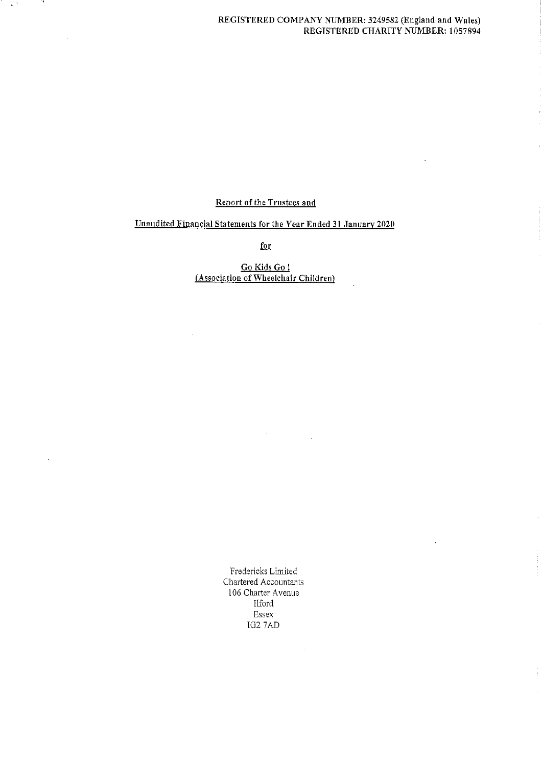# REGISTERED COMPANY NUMBER: 3249582 (England and Wales) REGISTERED CHARITY NUMBER: 1057894

÷

# Report of the Trustees and

 $\mathcal{L}$ 

 $\star$  .

- 191

# Unaudited Financial Statements for the Year Ended 31 January 2020

for

<u>Go Kids Go i</u> <u>Association of Wheelchair Childre</u>

> Fredericks Limited Chartered Accountants 106 Charter Avenue Ilford Essex IG2 7AD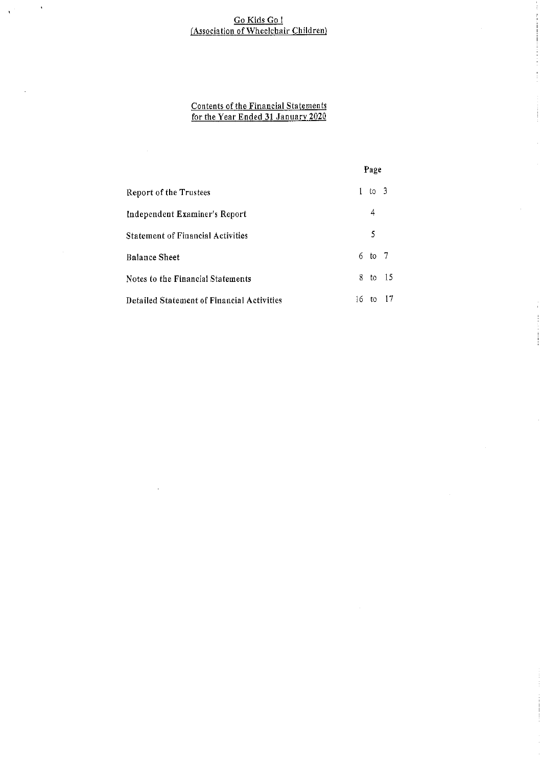$\sim$ 

#### <u>Contents of the Financial Statemen</u> <u>for the Year Ended 31 January 2020</u>

|                                            |        | Page    |  |
|--------------------------------------------|--------|---------|--|
| Report of the Trustees                     | 1.     | to 3    |  |
| Independent Examiner's Report              |        | 4       |  |
| <b>Statement of Financial Activities</b>   |        | 5       |  |
| <b>Balance Sheet</b>                       |        | 6 to 7  |  |
| Notes to the Financial Statements          |        | 8 to 15 |  |
| Detailed Statement of Financial Activities | $16 -$ | to      |  |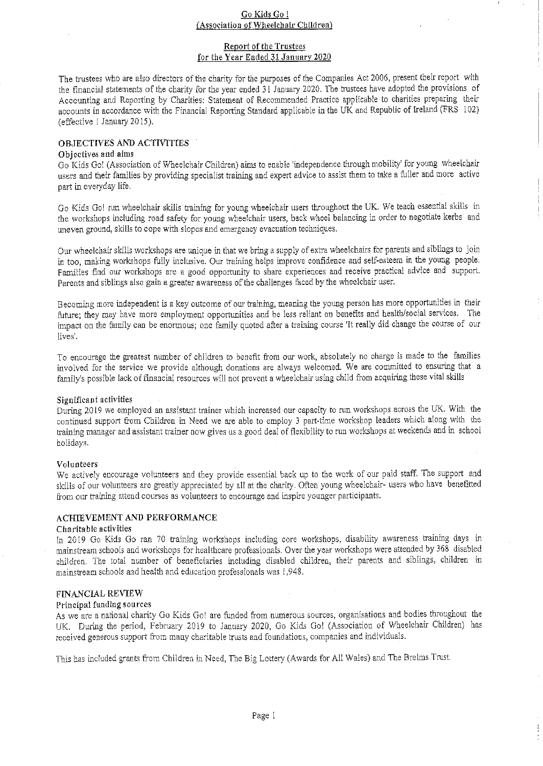#### Report of the Trustees for the Year Ended 31 January 2020

The trustees wbo are also directors of the charity for the purposes of the Companies Act 2006, present their report with tbe fnancial statements of the charity for the year ended 31 January 2020. Tbe trustees have adopted the provisions of Accounting and Reporting by Charities: Statement of Recommended Practice applicable to charities preparing their accounts in accordance with the Financial Reporting Standard applicable in the UK and Republic of Ireland (FRS 102) (effective <sup>1</sup> January 2015).

## OBJECTIVES AND ACTIVITIES

## Objectives and aims

Go Kids Go! (Association of Wheelchair Children) aims to enable 'independence through mobility' for young wheelchair users and their families by providing specialist training and expert advice to assist them to take a fuller and more active part in everyday life.

Go Kids Go! run wheelchair skills training for young wheelchair users throughout the UK. We teach essential skills in the workshops including road safety for young wheelchair users, back wheel balancing in order to negotiate kerbs and uneven ground, sldlls to cope with slopes and emergency evacuation techniques.

Our wheelchair skills workshops are unique in that we bring a supply of extra wheelchairs for parents and siblings to join in too, making workshops fully uiclusive. Our training helps improve confidence and self-esteem in the young people. Families find our workshops are a good opportunity to share experiences and receive practical advice and support, Parents and siblings also gain a greater awareness of the challenges faced by the wheelchair user.

Becoming more independent is a key outcome of our training, meaning the young person has more opportunities in their future; they may have more employment opportunities and be less reliant on benefits and health/social services. The impact on the family can be enormous; one family quoted after <sup>a</sup> training course 'It really did change the course of our lives'.

To encourage the greatest number of children to benefit from our work, absolutely no charge is made to the families involved for the service we provide although donations are always welcomed. We are committed to ensuring that a family's possible lack of financial resources will not prevent a wheelchair using child fiom acquiring these vital skifis

#### Significant activities

During 2019 we employed an assistant trainer which increased our capacity to run workshops across the UK. With the continued support from Children in Need we are able to employ 3 part-time workshop leaders which along with the training manager and assistant trainer now gives us a good deal of flexibility to run workshops at weekends and in school holidays.

#### Volunteers

We actively encourage volunteers and they provide essential back up to the work of our paid staff. The support and skills of our volunteers are greatly appreciated by all at the charity. Often young wheelchair- users who have benefitted from our training attend courses as volunteers to encourage and inspire younger participants.

# ACHIEVEMENT AND PERFORMANCE

#### Charitable activities

In 2019 Go Kids Go ran 70 training workshops including core workshops, disability awareness training days in mainstream schools and workshops for healthcare professionals. Over the year workshops were attended by 368 disabled children. Tbe total number of beneficiaries including disabled children, their parents and siblings, children in mainstream schools and health and education professionals was L948.

#### FINANCIAL REVIEW

#### Principal funding sources

As we are a national charity Go Kids Go! are funded fiom numerous sources, organisations and bodies throughout the UK. During the period, FebruarY 2019 to January 2020, Go Kids Go! (Association of Wheelchair Children) has received generous support from many charitable trusts and foundations, companies and individuals.

This has included grants from Children in Need, The Big Lottery (Awards for All Wales) and The Brelms Trust.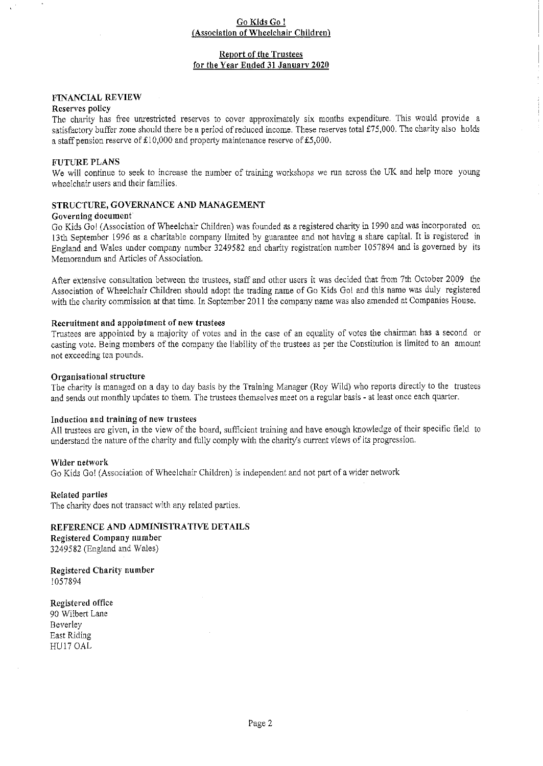# Report of the Trustees for the Year Ended 31 January 2020

#### FINANCIAL REVIEW

#### Reserves policy

The charity has fee unrestricted reserves to cover approximately six months expenditure. This would provide <sup>a</sup> satisfactory buffer zone should there be a period of reduced income. These reserves total £75,000. The charity also holds a staff pension reserve of  $£10,000$  and property maintenance reserve of £5,000.

#### FUTURE PLANS

We will continue to seek to increase the number of training workshops we run across the UK and help more young wheelchair users and their families.

#### STRUCTURE, GOVERNANCE AND MANAGEMENT

#### Governing document

Go Kids Go! (Association of Wheelchair Children) was founded as a registered charity in 1990 and was incorporated on 13th September 1996 as a charitable company limited by guarantee and not having a share capital. It is registered in England and Wales under company number 3249582 and charity registration number 1057894 and is governed by its Memorandum and Articles of Association.

After extensive consultation between the trustees, staff and other users it was decided that fiom 7th October 2009 the Association of Wheelchair Children should adopt the trading name of Go Kids Gol and this name was duly registered with the charity commission at that time. In September 2011 the company name was also amended at Companies House.

#### Recruitment and appointment of new trustees

Trustees are appointed by a majority of votes and in the case of an equality of votes the chairman has a second or casting vote. Being members of the company the liability of the trustees as per the Constitution is limited to an amount not exceeding ten pounds.

#### Organisational structure

The charity is managed on a day to day basis by the Training Manager (Roy Wild) who reports directly to the trustees and sends out monthly updates to them. The trustees themselves meet on a regular basis - at least once each quarter.

#### Induction and training of new trustees

All trustees are given, in the view of the board, sufficient training and have enough knowledge of their specific field to understand the nature ofthe charity and fully comply with the charity's current views of its progression.

#### Wider network

Go Kids Go! (Association of Wheelchair Children) is independent and not part of a wider network

#### Related parties

The charity does not transact with any related parties.

# REFERENCE AND ADMINISTRATIVE DETAILS

Registered Company number 3249582 (England and Wales)

Registered Charity number 1057894

#### Registered office 90 Wilbert Lane **Beverley** East Riding HU17 OAL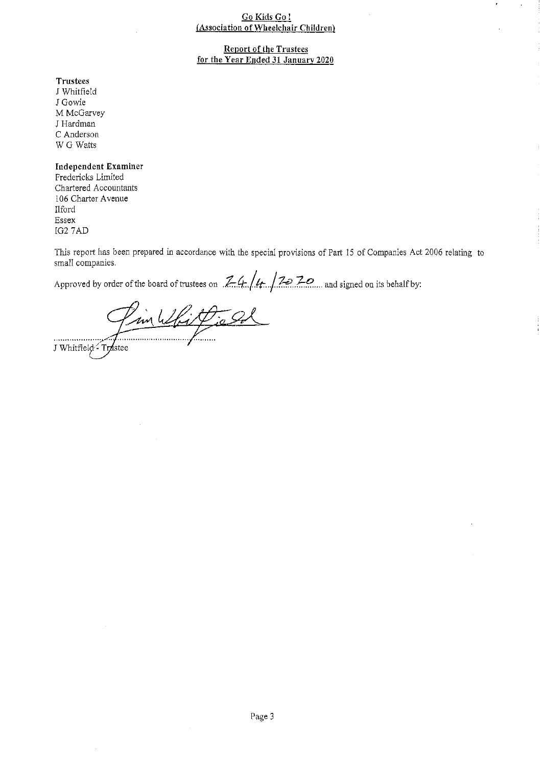# Report of the Trustees for the Year Ended 31 January 2020

Trustees

J Whitfield J Gowie M McGarvey J Hardman C Anderson W G Watts

#### Independent Examiner

Fredericks Limited Chartered Accountants 106 Charter Avenue Ilford Essex IG2 7AD

This report has been prepared in accordance with the special provisions of Part 15 of Companies Act 2006 relating to small companies.

 $\frac{1}{3}$ 

Approved by order of the board of trustees on  $\frac{7}{4}$ .  $\frac{7}{2}$   $\frac{7}{8}$  and signed on its behalf by:

I in White of

J Whitfield Trastee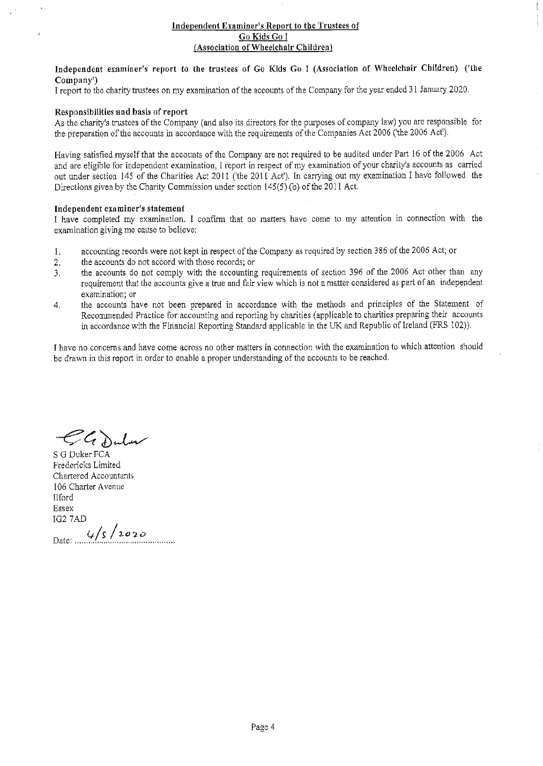#### Independent Examiner's Report to the Trustees of Go Kids Go <sup>I</sup> Association of Wheelchair Children

ł  $\vdots$ 

Independent examiner's report to the trustees of Go Kids Go <sup>I</sup> (Association of Wheelchair Children) ('the Company')

I report to the charity trustees on my examination of the accounts of the Company for the year ended 31 January 2020

#### Responsibilities and basis of report

As the charity's trustees ofthe Company (and also its directors for the purposes of company law) you are responsible for the preparation of the accounts in accordance with the requirements of the Companies Act 2006 ('the 2006 Act').

Having satisfied myself that the accounts of the Company are not required to be audited under Part 16 of the 2006 Act and are eligible for independent examination, I report in respect of my examination of your charity's accounts as carried out under section 145 of the Charities Act 2011 ('the 2011 Act'), In carrying out my examination I have followed the Directions given by the Charity Commission under section  $145(5)$  (b) of the 2011 Act.

#### Independent examiner's statement

I have completed my examination. I confirm that no matters have come to my attention in connection with the examination giving me cause to believe;

- l. accounting records were not kept in respect of the Company as required by section <sup>3</sup> 36 ofthe 2006 Act; or
- the accounts do not accord with those records; or
- $\frac{2}{3}$ . the accounts do not comply with the accounting requirements of section 396 of the 2006 Act other than any requirement that the accounts give <sup>a</sup> true and fair view which is not <sup>a</sup> matter considered as part of an independent examination; or
- 4 the accounts have not been prepared in accordance with the methods and principles of the Statement of Recommended Practice for accounting and reporting by charities (applicable to charities preparing their accounts in accordance with the Financial Reporting Standard applicable in the UK and Republic of Ireland (FRS 102)).

<sup>I</sup> have no concerns and have come across no other matters in connection with the examination to which attention should be drawn in this report in order to enable a proper understanding of the accounts to be reached.

GGDulu

S G Duker FCA Fredericks Limited Chartered Accountants 106 Charter Avenue Ilford Essex IG2 7AD

 $4/5/2020$ Date: ....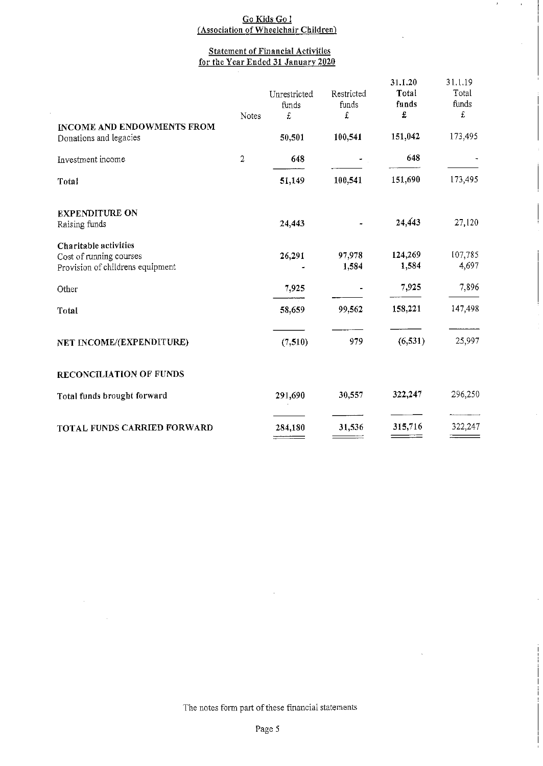$\,$ 

 $\bar{\rm t}$ 

# Statement of Financial Activities for the Year Ended 31 January 2020

|                                                                                      | Notes      | Unrestricted<br>funds<br>£ | Restricted<br>funds<br>£ | 31.1.20<br>Total<br>funds<br>£ | 31.1.19<br>Total<br>funds<br>£ |
|--------------------------------------------------------------------------------------|------------|----------------------------|--------------------------|--------------------------------|--------------------------------|
| INCOME AND ENDOWMENTS FROM<br>Donations and legacies                                 |            | 50,501                     | 100,541                  | 151,042                        | 173,495                        |
| Investment income                                                                    | $\sqrt{2}$ | 648                        |                          | 648                            |                                |
| Total                                                                                |            | 51,149                     | 100,541                  | 151,690                        | 173,495                        |
| <b>EXPENDITURE ON</b><br>Raising funds                                               |            | 24,443                     |                          | 24,443                         | 27,120                         |
| Charitable activities<br>Cost of running courses<br>Provision of childrens equipment |            | 26,291                     | 97,978<br>1,584          | 124,269<br>1,584               | 107,785<br>4,697               |
| Other                                                                                |            | 7,925                      |                          | 7,925                          | 7,896                          |
| Total                                                                                |            | 58,659                     | 99,562                   | 158,221                        | 147,498                        |
| NET INCOME/(EXPENDITURE)                                                             |            | (7,510)                    | 979                      | (6, 531)                       | 25,997                         |
| RECONCILIATION OF FUNDS                                                              |            |                            |                          |                                |                                |
| Total funds brought forward                                                          |            | 291,690                    | 30,557                   | 322,247                        | 296,250                        |
| TOTAL FUNDS CARRIED FORWARD                                                          |            | 284,180                    | 31,536                   | 315,716                        | 322,247                        |

The notes form part of these financial statements

 $\mathcal{A}^{\mathcal{A}}$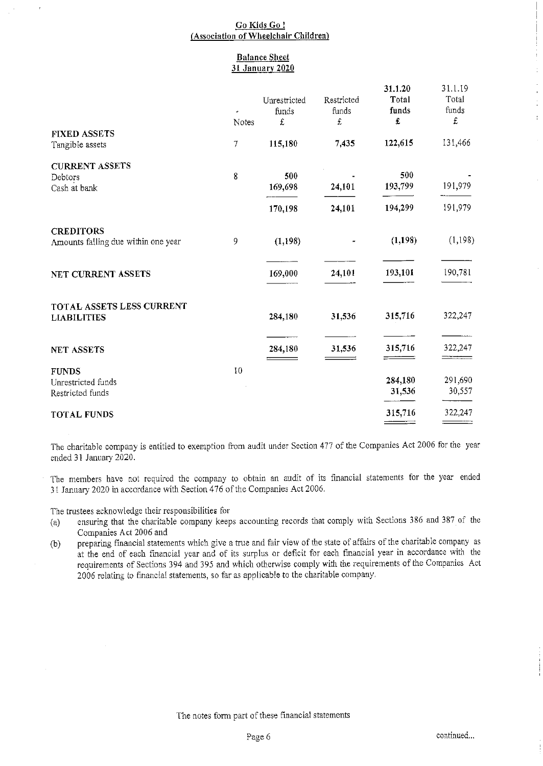#### Balance Sheet 31 January 2020

|                                                         | Notes | Unrestricted<br>funds<br>£ | Restricted<br>funds<br>£ | 31.1.20<br>Total<br>funds<br>£ | 31.1.19<br>Total<br>funds<br>£ |
|---------------------------------------------------------|-------|----------------------------|--------------------------|--------------------------------|--------------------------------|
| <b>FIXED ASSETS</b><br>Tangible assets                  | 7     | 115,180                    | 7,435                    | 122,615                        | 131,466                        |
|                                                         |       |                            |                          |                                |                                |
| <b>CURRENT ASSETS</b><br>Debtors<br>Cash at bank        | 8     | 500<br>169,698             | 24,101                   | 500<br>193,799                 | 191,979                        |
|                                                         |       | 170,198                    | 24,101                   | 194,299                        | 191,979                        |
| <b>CREDITORS</b><br>Amounts falling due within one year | 9     | (1, 198)                   |                          | (1,198)                        | (1, 198)                       |
| NET CURRENT ASSETS                                      |       | 169,000                    | 24,101                   | 193,101                        | 190,781                        |
| TOTAL ASSETS LESS CURRENT<br><b>LIABILITIES</b>         |       | 284,180                    | 31,536                   | 315,716                        | 322,247                        |
| <b>NET ASSETS</b>                                       |       | 284,180                    | 31,536                   | 315,716                        | 322,247                        |
| <b>FUNDS</b><br>Unrestricted funds<br>Restricted funds  | 10    |                            |                          | 284,180<br>31,536              | 291,690<br>30,557              |
| <b>TOTAL FUNDS</b>                                      |       |                            |                          | 315,716                        | 322,247                        |

The charitable company is entitled to exemption from audit under Section 477 of the Companies Act 2006 for the year ended 31 January 2020.

The members have not required the company to obtain an audit of its financial statements for the year ended 31 January 2020 in accordance with Section 476 of the Companies Act 2006.

The trustees acknovvledge their responsibilities for

 $\mathbf{r}$ 

- (a) ensuring that the charitable company keeps accounting records that comply with Sections 386 and <sup>387</sup> of the Companies Act 2006 and
- (b) preparing financial statements which give <sup>a</sup> true and fair view of the state of affairs of the charitable company as at the end of each financial year and of its surplus or deficit for each financial year in accordance with the requirements of Sections 394 and 395 and which otherwise comply with the requirements of the Companies Act 2006 relating to financial statements, so far as applicable to the charitable company.

 $\overline{1}$ Î, Ŷ.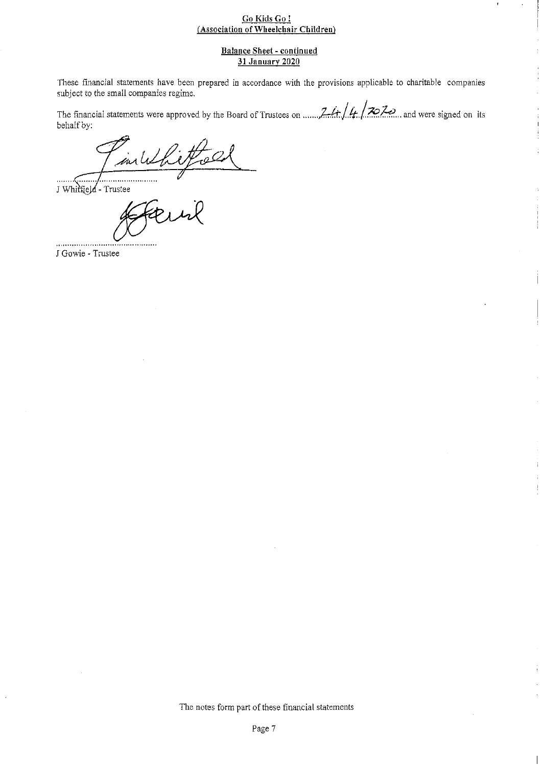## Balance Sheet - continued 31 January 2020

These financial statements have been prepared in accordance with the provisions applicable to charitable companies subject to the small companies regime

The financial statements were approved by the Board of Trustees on ....... $\frac{2}{\sqrt{t}}$ .  $\frac{1}{\sqrt{t}}$   $\frac{2}{\sqrt{2}}$  and were signed on its behalf by:

1 minutiefel

J Whitfield - Trustee

....................... J Gowie - Trustee

The notes form part of these financial statements

 $\overline{\phantom{a}}$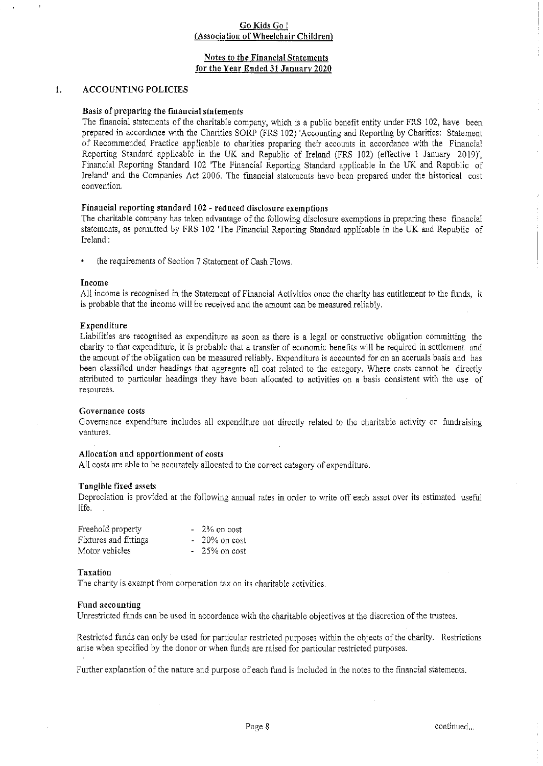# Notes to the Financial Statements for the Year Ended 31 January 2020

#### $1<sub>1</sub>$ ACCOUNTING POLICIES

#### Basis of preparing the financial statements

The financial statements of the charitable company, which is a public benefit entity under FRS 102, have been prepared in accordance with the Charities SORP (FRS 102) 'Accounting and Reporting by Charities: Statement of Recommended Practice applicable to charities preparing their accounts in accordance with the Financial Reporting Standard applicable in the UK and Republic of Ireland (FRS 102) (effective 1 January 2019)', Financial Reporting Standard 102 'The Financial Reporting Standard applicable in the UK and Republic of Ireland' and the Companies Act 2006, The financial statements have been prepared under the historical cost convention.

# Financial reporting standard 102 - reduced disclosure exemptions

The charitable company has taken advantage of the following disclosure exemptions in preparing these financial statements, as permitted by FRS 102 'The Financial Reporting Standard applicable in the UK and Republic of Ireland',

the requirements of Section 7 Statement of Cash Flows.

#### Income

Al! income is recognised hr the Statement of Financial Activities once the charity has entitlement to the funds, it is probable that the income will be received and the amount can be measured reliably.

#### Expenditure

Liabilities are recognised as expenditure as soon as there is a legal or constructive obligation committing the charity to that expenditure, it is probable that a transfer of economic benefits will be required in settlement and the amount ofthe obligation can be measured reliably. Expenditure is accounted for on an accruals basis and has been classified under headings that aggregate all cost related to the category. Where costs cannot be directly attributed to particular headings they have been allocated to activities on a basis consistent with the use of resources.

#### Governance costs

Governance expenditure includes all expenditure not directly related to the charitable activity or iundraising ventures.

#### Allocation and apportionment of costs

All costs are able to be accurately allocated to the correct category of expenditure.

#### Tangible fixed assets

Depreciation is provided at the following annual rates in order to write off each asset over its estimated useful life.

| Freehold property     | $-2\%$ on cost  |
|-----------------------|-----------------|
| Fixtures and fittings | $-20\%$ on cost |
| Motor vehicles        | $-25\%$ on cost |

#### **Taxation**

The charity is exempt from corporation tax on its charitable activities

#### Fund accounting

Unrestricted funds can be used in accordance with the charitable objectives at the discretion of the trustees.

Restricted funds can only be used for particular restricted purposes within the objects of the charity. Restrictions arise when specified by the donor or when funds are raised for particular restricted purposes.

Further explanation of the nature and purpose of each fund is included in the notes to the financial statements.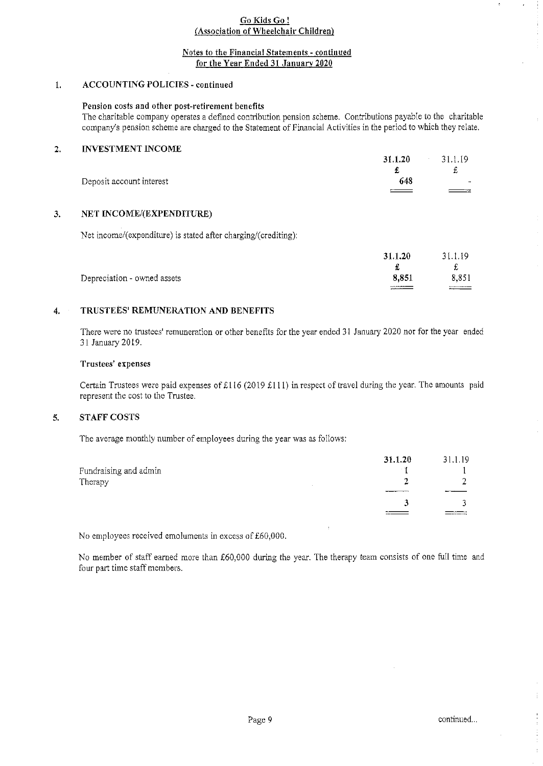# Notes to the Financial Statements - continued for the Year Ended 31 January 2020

#### ACCOUNTING POLICIES - continued  $\mathbf{I}$ .

## Pension costs and other post-retirement benefits

The charitable company operates a defined contribution pension scheme. Contributions payable to the charitable company's pension scheme are charged to the Statement of Financial Activities in the period to which they relate.

# 2. INVESTMENT INCOME

|     | $31.1.20$ $31.1.19$ |
|-----|---------------------|
|     | f                   |
| 648 | $\sim$              |
|     |                     |
|     |                     |

# 3. NET INCOME/(EXPENDITURE)

Net income/(expenditure) is stated after charging/(crediting):

|                             | 31.1.20 | 31.1.19 |
|-----------------------------|---------|---------|
|                             |         |         |
| Depreciation - owned assets | 8.851   | 8.851   |
|                             | ------- |         |

# 4. TRUSTEES' REMUNERATION AND BENEFITS

There were no trustees' remuneration or other benefits for the year ended 31 January 2020 nor for the year ended 31 January 2019.

# Trustees' expenses

Certain Trustees were paid expenses of £116 (2019 £111) in respect of travel during the year. The amounts paid represent the cost to the Trustee.

#### $\mathbf{5}$ . STAFF COSTS

The average monthly number of employees during the year was as follows:

|                       | 31.1.20 | 31.1.19 |
|-----------------------|---------|---------|
| Fundraising and admin |         |         |
| Therapy               |         |         |
|                       |         |         |
|                       |         |         |
|                       |         |         |

No employees received emoluments in excess of £60,000.

No member of staff earned more than f60,000 during the year. The therapy team consists of one full time and four part time staff members.

Ť.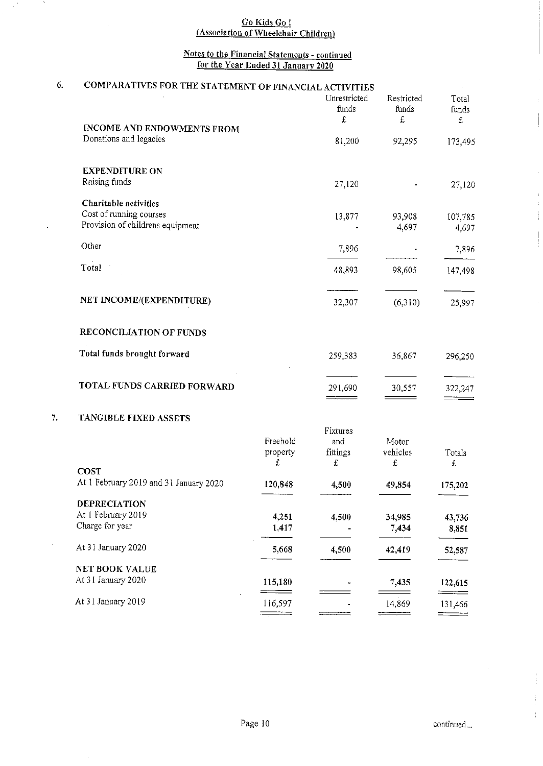# <u>Go Kids Go I</u> **Association of Wheelchair Childre**

 $\sim$ 

# Notes to the Financial Statements - continued <u>for the Year Ended 31 January 2020</u>

| <b>COMPARATIVES FOR THE STATEMENT OF FINANCIAL ACTIVITIES</b> |                                                                                                                                                                     |                           |                                                                |                                                            |  |
|---------------------------------------------------------------|---------------------------------------------------------------------------------------------------------------------------------------------------------------------|---------------------------|----------------------------------------------------------------|------------------------------------------------------------|--|
|                                                               |                                                                                                                                                                     | Unrestricted<br>funds     | Restricted<br>funds                                            | Total<br>funds                                             |  |
|                                                               |                                                                                                                                                                     |                           |                                                                | £                                                          |  |
| Donations and legacies                                        |                                                                                                                                                                     | 81,200                    | 92,295                                                         | 173,495                                                    |  |
| <b>EXPENDITURE ON</b>                                         |                                                                                                                                                                     |                           |                                                                |                                                            |  |
|                                                               |                                                                                                                                                                     | 27,120                    |                                                                | 27,120                                                     |  |
|                                                               |                                                                                                                                                                     |                           |                                                                |                                                            |  |
| Cost of running courses                                       |                                                                                                                                                                     |                           |                                                                | 107,785                                                    |  |
| Provision of childrens equipment                              |                                                                                                                                                                     |                           | 4,697                                                          | 4,697                                                      |  |
| Other                                                         |                                                                                                                                                                     | 7,896                     |                                                                | 7,896                                                      |  |
| Total                                                         |                                                                                                                                                                     | 48,893                    | 98,605                                                         | 147,498                                                    |  |
| NET INCOME/(EXPENDITURE)                                      |                                                                                                                                                                     |                           |                                                                | 25,997                                                     |  |
|                                                               |                                                                                                                                                                     |                           |                                                                |                                                            |  |
|                                                               |                                                                                                                                                                     |                           |                                                                |                                                            |  |
| Total funds brought forward                                   |                                                                                                                                                                     | 259,383                   | 36,867                                                         | 296,250                                                    |  |
| TOTAL FUNDS CARRIED FORWARD                                   |                                                                                                                                                                     | 291,690                   | 30,557                                                         | 322,247                                                    |  |
| <b>TANGIBLE FIXED ASSETS</b>                                  |                                                                                                                                                                     |                           |                                                                |                                                            |  |
|                                                               |                                                                                                                                                                     | Fixtures                  |                                                                |                                                            |  |
|                                                               |                                                                                                                                                                     |                           |                                                                |                                                            |  |
|                                                               |                                                                                                                                                                     |                           |                                                                | Totals<br>£                                                |  |
| <b>COST</b>                                                   |                                                                                                                                                                     |                           |                                                                |                                                            |  |
|                                                               | 120,848                                                                                                                                                             | 4,500                     | 49,854                                                         | 175,202                                                    |  |
| <b>DEPRECIATION</b>                                           |                                                                                                                                                                     |                           |                                                                |                                                            |  |
| At 1 February 2019                                            | 4,251                                                                                                                                                               | 4,500                     | 34,985                                                         | 43,736                                                     |  |
|                                                               | 1,417                                                                                                                                                               |                           | 7,434                                                          | 8,851                                                      |  |
| At 31 January 2020                                            | 5,668                                                                                                                                                               | 4,500                     | 42,419                                                         | 52,587                                                     |  |
| <b>NET BOOK VALUE</b>                                         |                                                                                                                                                                     |                           |                                                                |                                                            |  |
| At 31 January 2020                                            | 115,180                                                                                                                                                             |                           | 7,435                                                          | 122,615                                                    |  |
| At 31 January 2019                                            | 116,597                                                                                                                                                             |                           | 14,869                                                         | 131,466                                                    |  |
|                                                               | INCOME AND ENDOWMENTS FROM<br>Raising funds<br>Charitable activities<br><b>RECONCILIATION OF FUNDS</b><br>At 1 February 2019 and 31 January 2020<br>Charge for year | Freehold<br>property<br>£ | $\pmb{\mathsf{f}}$<br>13,877<br>32,307<br>and<br>fittings<br>£ | $\mathbf f$<br>93,908<br>(6,310)<br>Motor<br>vehicles<br>£ |  |

 $\frac{1}{4}$ 

 $\frac{1}{2}$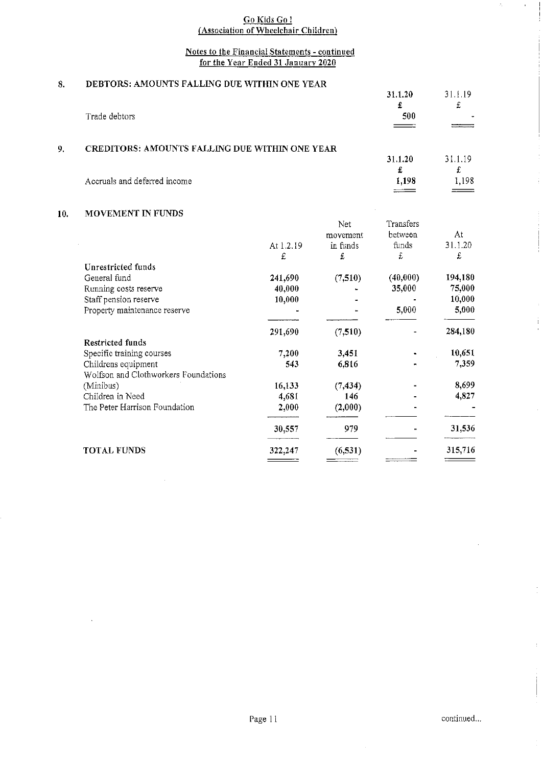# Notes to the Financial Statements - continued <u>for the Year Ended 31 January 2020</u>

#### 8. DEBTORS: AMOUNTS FALLING DUE WITHIN ONE YEAR

| -- |                                                       | 31.1.20 | 31.1.19      |
|----|-------------------------------------------------------|---------|--------------|
|    | Trade debtors                                         | 500     |              |
|    |                                                       |         |              |
| 9. | <b>CREDITORS: AMOUNTS FALLING DUE WITHIN ONE YEAR</b> | 31.1.20 | 31.1.19      |
|    | Accruals and deferred income                          | 1,198   | 1,198<br>___ |

# 10. MOVEMENT IN FUNDS

|           | Net      | Transfers |         |
|-----------|----------|-----------|---------|
|           | movement | between   | At      |
| At 1.2.19 | in funds | funds     | 31.1.20 |
| £         | £        | £         | £       |
|           |          |           |         |
| 241,690   | (7,510)  | (40,000)  | 194,180 |
| 40,000    |          | 35,000    | 75,000  |
| 10,000    |          |           | 10,000  |
|           |          | 5,000     | 5,000   |
| 291,690   | (7, 510) |           | 284,180 |
|           |          |           |         |
| 7,200     | 3,451    |           | 10,651  |
| 543       | 6,816    |           | 7,359   |
|           |          |           |         |
| 16,133    | (7, 434) |           | 8,699   |
| 4,681     | 146      |           | 4,827   |
| 2,000     | (2,000)  |           |         |
| 30,557    | 979      |           | 31,536  |
| 322,247   | (6,531)  |           | 315,716 |
|           |          |           |         |

 $\ddot{\phantom{a}}$ 

 $\hat{\mathcal{Z}}_k$ 

 $\bar{z}$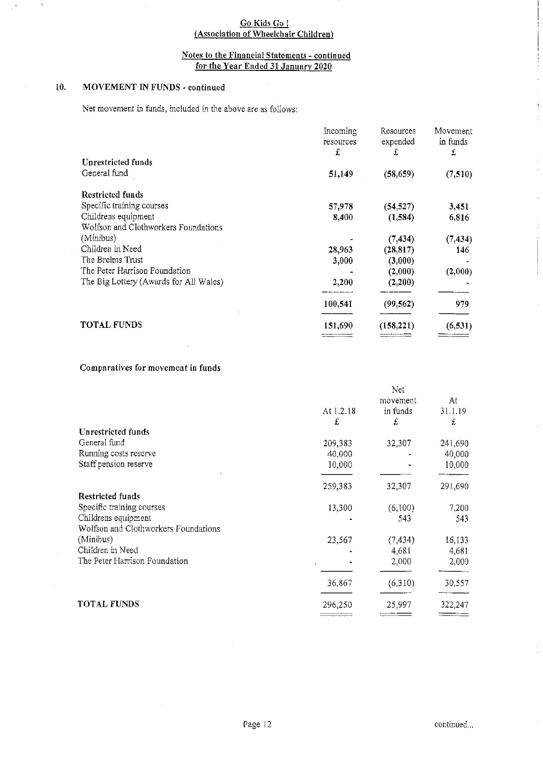#### Go Kids Go <sup>I</sup> <u>Association of Wheelchair Childre</u>

# Notes to the Financial Statements - continued <u>for the Year Ended 31 January 2020</u>

# 10. MOVEMENT IN FUNDS - continued

 $\mathbb{R}^3$ 

 $\hat{\mathcal{A}}$ 

Net movement in funds, included in the above are as follows:

|                                        | Incoming  | Resources  | Movement |
|----------------------------------------|-----------|------------|----------|
|                                        | resources | expended   | in funds |
|                                        | £         | £          | £        |
| Unrestricted funds                     |           |            |          |
| General fund                           | 51,149    | (58, 659)  | (7, 510) |
| Restricted funds                       |           |            |          |
| Specific training courses              | 57,978    | (54, 527)  | 3,451    |
| Childrens equipment                    | 8,400     | (1,584)    | 6,816    |
| Wolfson and Clothworkers Foundations   |           |            |          |
| (Minibus)                              |           | (7, 434)   | (7, 434) |
| Children in Need                       | 28,963    | (28, 817)  | 146      |
| The Brelms Trust                       | 3,000     | (3,000)    |          |
| The Peter Harrison Foundation          |           | (2,000)    | (2,000)  |
| The Big Lottery (Awards for All Wales) | 2,200     | (2,200)    |          |
|                                        | 100,541   | (99, 562)  | 979      |
| <b>TOTAL FUNDS</b>                     | 151,690   | (158, 221) | (6, 531) |
|                                        |           |            |          |

# Comparatives for movement in funds

|                                      |           | Net      |         |
|--------------------------------------|-----------|----------|---------|
|                                      |           | movement | At      |
|                                      | At 1.2.18 | in funds | 31.1.19 |
|                                      | £         | £        | £       |
| Unrestricted funds                   |           |          |         |
| General fund                         | 209,383   | 32,307   | 241,690 |
| Running costs reserve                | 40,000    |          | 40,000  |
| Staff pension reserve                | 10.000    |          | 10,000  |
|                                      | 259,383   | 32,307   | 291,690 |
| Restricted funds                     |           |          |         |
| Specific training courses            | 13,300    | (6,100)  | 7,200   |
| Childrens equipment                  |           | 543      | 543     |
| Wolfson and Clothworkers Foundations |           |          |         |
| (Minibus)                            | 23,567    | (7, 434) | 16,133  |
| Children in Need                     |           | 4,681    | 4,681   |
| The Peter Harrison Foundation        |           | 2,000    | 2,000   |
|                                      | 36,867    | (6,310)  | 30,557  |
| <b>TOTAL FUNDS</b>                   | 296,250   | 25,997   | 322,247 |
|                                      |           |          |         |

÷,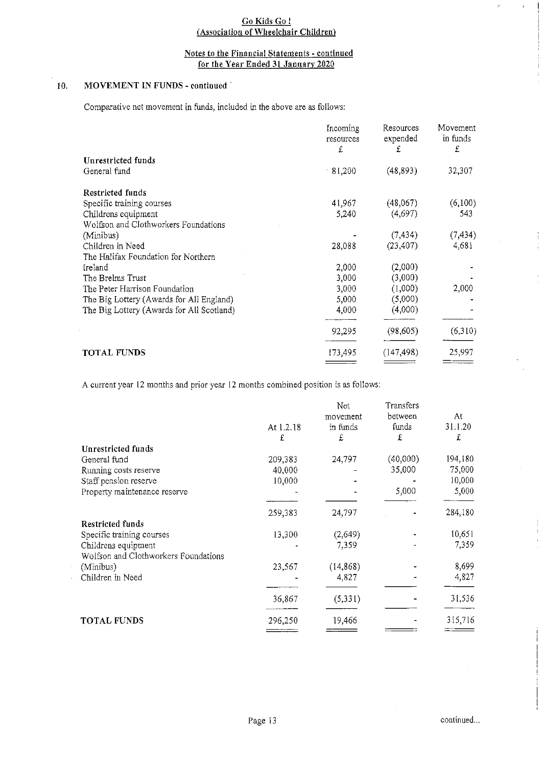#### Notes to the Financial Statements - continued <u>for the Year Ended 31 January 2020</u>

# 10, MOVEMENT IN FUNDS - continued '

Comparative net movement in funds, included in the above are as follows:

|                                           | Incoming<br>resources<br>£ | Resources<br>expended<br>£ | Movement<br>in funds<br>£ |
|-------------------------------------------|----------------------------|----------------------------|---------------------------|
| Unrestricted funds                        |                            |                            |                           |
| General fund                              | 81,200                     | (48, 893)                  | 32,307                    |
| Restricted funds                          |                            |                            |                           |
| Specific training courses                 | 41,967                     | (48,067)                   | (6,100)                   |
| Childrens equipment                       | 5,240                      | (4,697)                    | 543                       |
| Wolfson and Clothworkers Foundations      |                            |                            |                           |
| (Minibus)                                 |                            | (7, 434)                   | (7, 434)                  |
| Children in Need                          | 28,088                     | (23, 407)                  | 4,681                     |
| The Halifax Foundation for Northern       |                            |                            |                           |
| Ireland                                   | 2,000                      | (2,000)                    |                           |
| The Brelms Trust                          | 3,000                      | (3,000)                    |                           |
| The Peter Harrison Foundation             | 3,000                      | (1,000)                    | 2,000                     |
| The Big Lottery (Awards for All England)  | 5,000                      | (5,000)                    |                           |
| The Big Lottery (Awards for All Scotland) | 4,000                      | (4,000)                    |                           |
|                                           | 92,295                     | (98, 605)                  | (6,310)                   |
| <b>TOTAL FUNDS</b>                        | 173,495                    | (147, 498)                 | 25,997                    |

A current year 12 months and prior year 12 months combined position is as follows:

|                                      |           | Net       | Transfers |         |
|--------------------------------------|-----------|-----------|-----------|---------|
|                                      |           | movement  | between   | At      |
|                                      | At 1.2.18 | in funds  | funds     | 31.1.20 |
|                                      | £         | £         | £         | £       |
| Unrestricted funds                   |           |           |           |         |
| General fund                         | 209,383   | 24,797    | (40,000)  | 194,180 |
| Running costs reserve                | 40,000    |           | 35,000    | 75,000  |
| Staff pension reserve                | 10,000    |           |           | 10,000  |
| Property maintenance reserve         |           |           | 5,000     | 5,000   |
|                                      | 259,383   | 24,797    |           | 284,180 |
| Restricted funds                     |           |           |           |         |
| Specific training courses            | 13,300    | (2,649)   |           | 10,651  |
| Childrens equipment                  |           | 7,359     |           | 7,359   |
| Wolfson and Clothworkers Foundations |           |           |           |         |
| (Minibus)                            | 23,567    | (14, 868) |           | 8,699   |
| Children in Need                     |           | 4,827     |           | 4,827   |
|                                      | 36,867    | (5, 331)  |           | 31,536  |
| <b>TOTAL FUNDS</b>                   | 296,250   | 19,466    |           | 315,716 |
|                                      |           |           |           |         |

r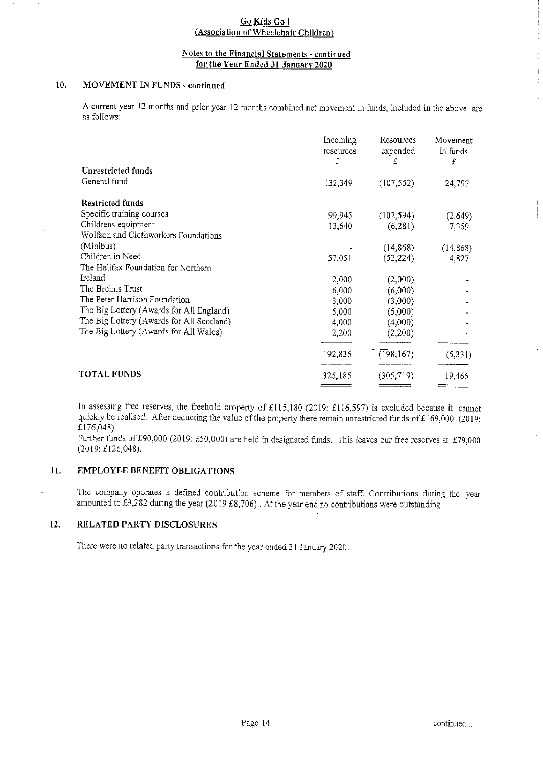#### Notes to the Financial Statements - continued for the Year Ended 31 January 2020

# 10. MOVEMENT IN FUNDS - continued

A current year 12 months and prior year 12 months combined net movement in funds, included in the above are as follows:

|                                           | Incoming<br>resources<br>£ | Resources<br>expended<br>£ | Movement<br>in funds<br>£ |
|-------------------------------------------|----------------------------|----------------------------|---------------------------|
| Unrestricted funds                        |                            |                            |                           |
| General fund                              | 132,349                    | (107, 552)                 | 24,797                    |
| Restricted funds                          |                            |                            |                           |
| Specific training courses                 | 99,945                     | (102, 594)                 | (2,649)                   |
| Childrens equipment                       | 13,640                     | (6, 281)                   | 7,359                     |
| Wolfson and Clothworkers Foundations      |                            |                            |                           |
| (Minibus)                                 |                            | (14, 868)                  | (14, 868)                 |
| Children in Need                          | 57,051                     | (52, 224)                  | 4,827                     |
| The Halifax Foundation for Northern       |                            |                            |                           |
| Ireland                                   | 2,000                      | (2,000)                    |                           |
| The Brelms Trust                          | 6,000                      | (6,000)                    |                           |
| The Peter Harrison Foundation             | 3,000                      | (3,000)                    |                           |
| The Big Lottery (Awards for All England)  | 5,000                      | (5,000)                    |                           |
| The Big Lottery (Awards for All Scotland) | 4,000                      | (4,000)                    |                           |
| The Big Lottery (Awards for All Wales)    | 2,200                      | (2,200)                    |                           |
|                                           |                            |                            |                           |
|                                           | 192,836                    | (198, 167)                 | (5,331)                   |
| TOTAL FUNDS                               | 325,185                    | (305, 719)                 | 19,466                    |
|                                           |                            |                            |                           |

In assessing free reserves, the freehold property of £115,180 (2019: £116,597) is excluded because it cannot quickly be realised. After deducting the value of the property there remain unrestricted funds of £169,000 (2019: £176,048)

Further funds of £90,000 (2019: £50,000) are held in designated funds. This leaves our free reserves at £79,000 (2019: 8126,048).

#### 11. EMPLOYEE BENEFIT OBLIGATIONS

The company operates a defined contribution scheme for members of staff. Contributions during the year amounted to £9,282 during the year (2019 £8,706). At the year end no contributions were outstanding

# 12. RELATED PARTY DISCLOSURES

There were no related party transactions for the year ended 31 January 2020.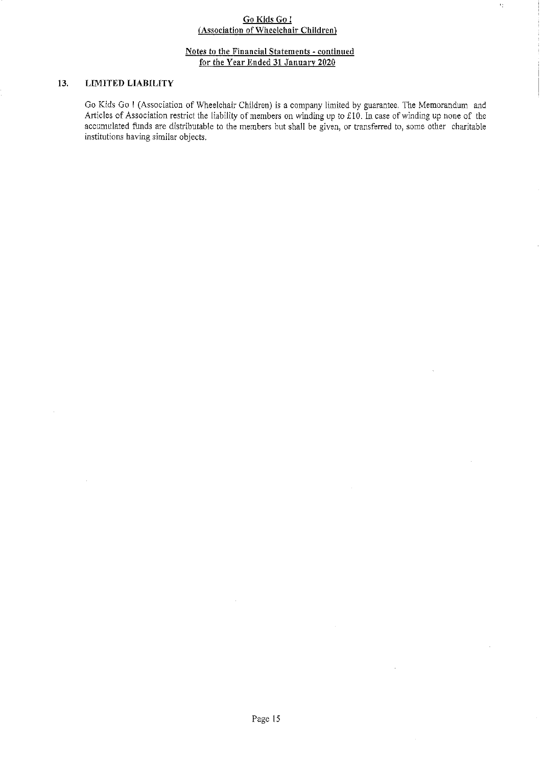$\epsilon_2$ 

## Notes to the Financial Statements - continued for the Year Ended 31 January 2020

# 13. LIMITED LIABILITY

Go Kids Go! (Association of Wheelchair Children) is <sup>a</sup> company limited by guarantee. The Memorandum and Articles of Association restrict the liability of members on winding up to £10. In case of winding up none of the accumulated funds are distributable to the members but shall be given, or transferred to, some other charitable institutions having similar objects.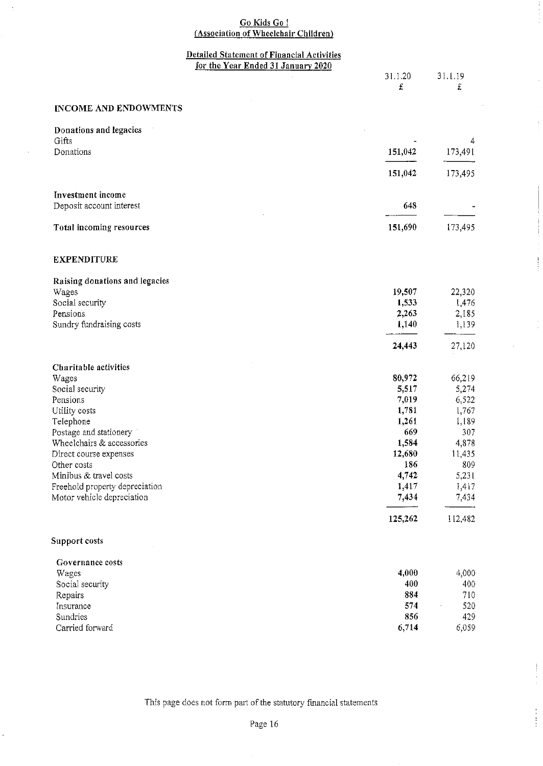#### <u>Go Kids Go l</u> <u>Association of Wheelchair Childre</u>

# <u>Detailed Statement of Financial Activitie</u> <u>for the Year Ended 31 January 2020</u>

÷,

ý

 $\frac{1}{4}$ 

# INCOME AND ENDOWMENTS

| Donations and legacies   |         |                |
|--------------------------|---------|----------------|
| Gifts                    |         | $\overline{4}$ |
| Donations                | 151,042 | 173,491        |
|                          | 151,042 | 173,495        |
| Investment income        |         |                |
| Deposit account interest | 648     | $\mathbf{r}$   |
| Total incoming resources | 151,690 | 173,495        |
|                          |         |                |

# **EXPENDITURE**

| Raising donations and legacies |         |         |
|--------------------------------|---------|---------|
| Wages                          | 19.507  | 22,320  |
| Social security                | 1,533   | 1,476   |
| Pensions                       | 2,263   | 2,185   |
| Sundry fundraising costs       | 1,140   | 1,139   |
|                                | 24.443  | 27,120  |
| Charitable activities          |         |         |
| Wages                          | 80,972  | 66,219  |
| Social security                | 5,517   | 5,274   |
| Pensions                       | 7,019   | 6,522   |
| Utility costs                  | 1,781   | 1,767   |
| Telephone                      | 1,261   | 1,189   |
| Postage and stationery         | 669     | 307     |
| Wheelchairs & accessories      | 1.584   | 4,878   |
| Direct course expenses         | 12,680  | 11,435  |
| Other costs                    | 186     | 809     |
| Minibus & travel costs         | 4.742   | 5,231   |
| Freehold property depreciation | 1,417   | 1,417   |
| Motor vehicle depreciation     | 7,434   | 7,434   |
|                                | 125,262 | 112,482 |

# Support costs

| Governance costs |       |       |
|------------------|-------|-------|
| Wages            | 4.000 | 4.000 |
| Social security  | 400   | 400   |
| Repairs          | 884   | 710   |
| Insurance        | 574   | 520   |
| Sundries         | 856   | 429   |
| Carried forward  | 6.714 | 6.059 |

This page does not form part of the statutory financial statements